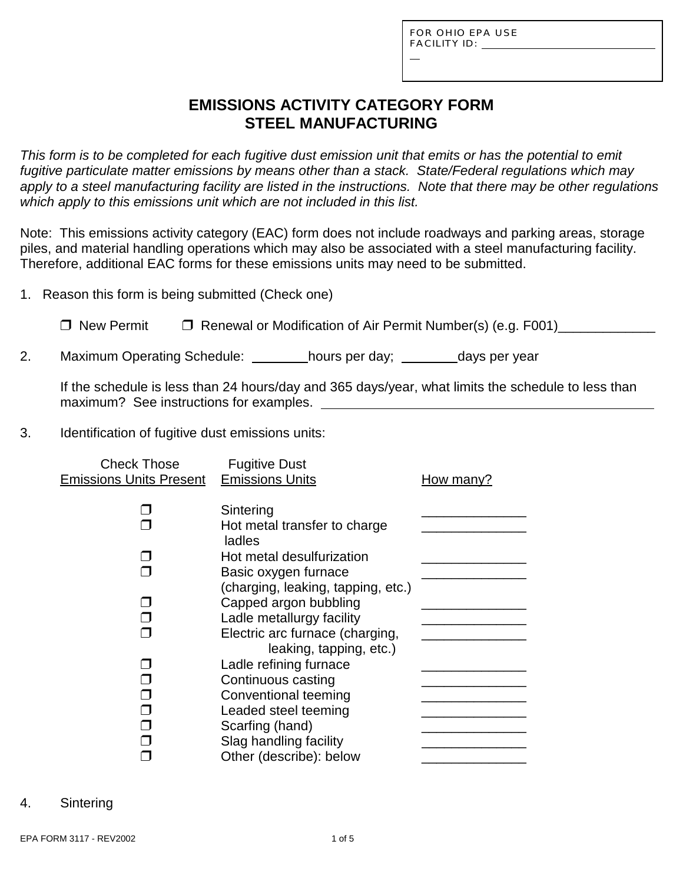L

## **EMISSIONS ACTIVITY CATEGORY FORM STEEL MANUFACTURING**

*This form is to be completed for each fugitive dust emission unit that emits or has the potential to emit fugitive particulate matter emissions by means other than a stack. State/Federal regulations which may apply to a steel manufacturing facility are listed in the instructions. Note that there may be other regulations which apply to this emissions unit which are not included in this list.* 

Note: This emissions activity category (EAC) form does not include roadways and parking areas, storage piles, and material handling operations which may also be associated with a steel manufacturing facility. Therefore, additional EAC forms for these emissions units may need to be submitted.

1. Reason this form is being submitted (Check one)

□ New Permit □ Renewal or Modification of Air Permit Number(s) (e.g. F001)

2. Maximum Operating Schedule: \_\_\_\_\_\_\_hours per day; \_\_\_\_\_\_\_days per year

If the schedule is less than 24 hours/day and 365 days/year, what limits the schedule to less than maximum? See instructions for examples.

3. Identification of fugitive dust emissions units:

| <b>Check Those</b>             | <b>Fugitive Dust</b>               |           |
|--------------------------------|------------------------------------|-----------|
| <b>Emissions Units Present</b> | <b>Emissions Units</b>             | How many? |
|                                | Sintering                          |           |
|                                | Hot metal transfer to charge       |           |
|                                | ladles                             |           |
|                                | Hot metal desulfurization          |           |
|                                | Basic oxygen furnace               |           |
|                                | (charging, leaking, tapping, etc.) |           |
|                                | Capped argon bubbling              |           |
|                                | Ladle metallurgy facility          |           |
|                                | Electric arc furnace (charging,    |           |
|                                | leaking, tapping, etc.)            |           |
|                                | Ladle refining furnace             |           |
|                                | Continuous casting                 |           |
|                                | Conventional teeming               |           |
|                                | Leaded steel teeming               |           |
|                                | Scarfing (hand)                    |           |
|                                | Slag handling facility             |           |
|                                | Other (describe): below            |           |

4. Sintering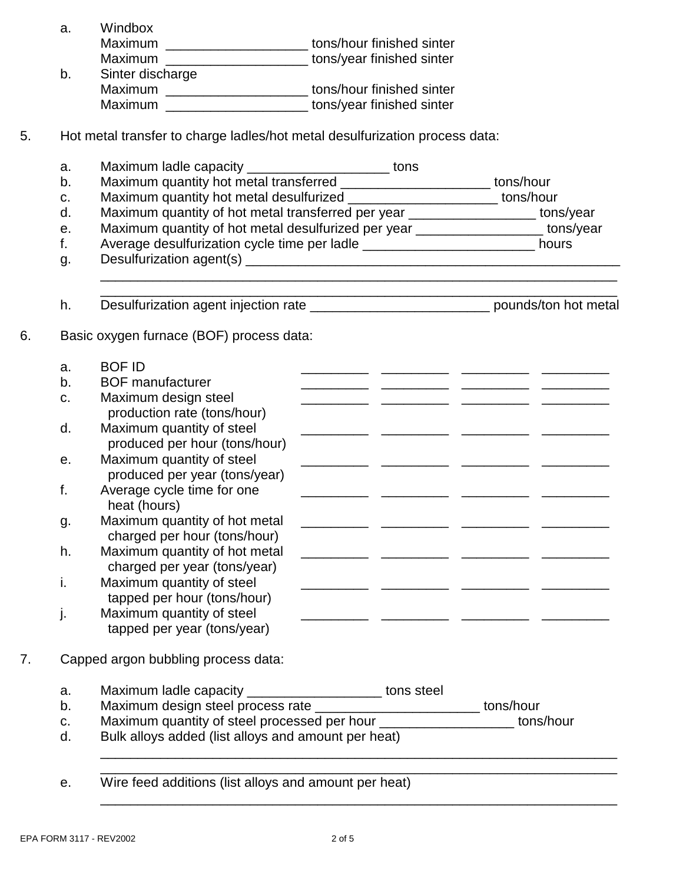|    | a.      | Windbox                                                                                     |  |                                                             |
|----|---------|---------------------------------------------------------------------------------------------|--|-------------------------------------------------------------|
|    |         | Maximum ______________________tons/hour finished sinter                                     |  |                                                             |
|    |         | Maximum __________________________tons/year finished sinter                                 |  |                                                             |
|    | b.      | Sinter discharge                                                                            |  |                                                             |
|    |         | Maximum ________________________ tons/hour finished sinter                                  |  |                                                             |
|    |         | Maximum ___________________________ tons/year finished sinter                               |  |                                                             |
| 5. |         | Hot metal transfer to charge ladles/hot metal desulfurization process data:                 |  |                                                             |
|    |         |                                                                                             |  |                                                             |
|    | a.      | Maximum ladle capacity _________________________ tons                                       |  |                                                             |
|    | b.      | Maximum quantity hot metal transferred ________________________ tons/hour                   |  |                                                             |
|    | c.      | Maximum quantity hot metal desulfurized _________________________ tons/hour                 |  |                                                             |
|    | d.      | Maximum quantity of hot metal transferred per year ___________________ tons/year            |  |                                                             |
|    | е.      | Maximum quantity of hot metal desulfurized per year ___________________ tons/year           |  |                                                             |
|    | f.      | Average desulfurization cycle time per ladle ___________________________ hours              |  |                                                             |
|    | g.      |                                                                                             |  | <u> 1980 - Johann Stoff, amerikansk politiker (d. 1980)</u> |
|    | h.      | Desulfurization agent injection rate _________________________________ pounds/ton hot metal |  |                                                             |
|    |         |                                                                                             |  |                                                             |
| 6. |         | Basic oxygen furnace (BOF) process data:                                                    |  |                                                             |
|    | a.      | <b>BOF ID</b>                                                                               |  |                                                             |
|    | $b_{1}$ | <b>BOF</b> manufacturer                                                                     |  |                                                             |
|    | c.      | Maximum design steel                                                                        |  |                                                             |
|    |         | production rate (tons/hour)                                                                 |  |                                                             |
|    | d.      | Maximum quantity of steel                                                                   |  |                                                             |
|    |         | produced per hour (tons/hour)                                                               |  |                                                             |
|    | е.      | Maximum quantity of steel                                                                   |  |                                                             |
|    |         | produced per year (tons/year)                                                               |  |                                                             |
|    | f.      | Average cycle time for one                                                                  |  |                                                             |
|    |         |                                                                                             |  |                                                             |
|    |         | heat (hours)                                                                                |  |                                                             |
|    | g.      | Maximum quantity of hot metal                                                               |  |                                                             |
|    |         | charged per hour (tons/hour)                                                                |  |                                                             |
|    | h.      | Maximum quantity of hot metal                                                               |  |                                                             |
|    |         | charged per year (tons/year)                                                                |  |                                                             |
|    | i.      | Maximum quantity of steel                                                                   |  |                                                             |
|    |         | tapped per hour (tons/hour)                                                                 |  |                                                             |
|    | j.      | Maximum quantity of steel                                                                   |  |                                                             |
|    |         | tapped per year (tons/year)                                                                 |  |                                                             |
| 7. |         | Capped argon bubbling process data:                                                         |  |                                                             |
|    | a.      | Maximum ladle capacity _______________________ tons steel                                   |  |                                                             |
|    | b.      | Maximum design steel process rate ___________________________ tons/hour                     |  |                                                             |
|    | C.      | Maximum quantity of steel processed per hour ______________________ tons/hour               |  |                                                             |
|    | d.      | Bulk alloys added (list alloys and amount per heat)                                         |  |                                                             |
|    |         |                                                                                             |  |                                                             |
|    | е.      | Wire feed additions (list alloys and amount per heat)                                       |  |                                                             |

EPA FORM 3117 - REV2002 2 of 5

\_\_\_\_\_\_\_\_\_\_\_\_\_\_\_\_\_\_\_\_\_\_\_\_\_\_\_\_\_\_\_\_\_\_\_\_\_\_\_\_\_\_\_\_\_\_\_\_\_\_\_\_\_\_\_\_\_\_\_\_\_\_\_\_\_\_\_\_\_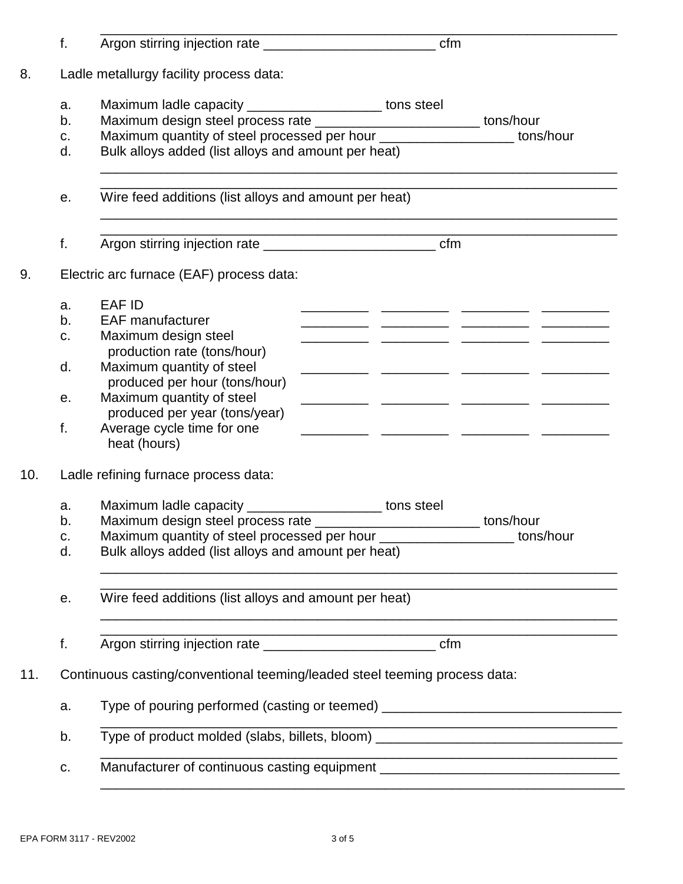|     | f. |                                                                                  |                                                             |
|-----|----|----------------------------------------------------------------------------------|-------------------------------------------------------------|
| 8.  |    | Ladle metallurgy facility process data:                                          |                                                             |
|     | a. | Maximum ladle capacity ______________________ tons steel                         |                                                             |
|     | b. | Maximum design steel process rate _________________________ tons/hour            |                                                             |
|     | C. | Maximum quantity of steel processed per hour _____________________ tons/hour     |                                                             |
|     | d. | Bulk alloys added (list alloys and amount per heat)                              |                                                             |
|     | е. | Wire feed additions (list alloys and amount per heat)                            |                                                             |
|     | f. |                                                                                  |                                                             |
| 9.  |    | Electric arc furnace (EAF) process data:                                         |                                                             |
|     | a. | <b>EAF ID</b>                                                                    |                                                             |
|     | b. | <b>EAF manufacturer</b>                                                          |                                                             |
|     | C. | Maximum design steel<br>production rate (tons/hour)                              |                                                             |
|     | d. | Maximum quantity of steel<br>produced per hour (tons/hour)                       |                                                             |
|     | е. | Maximum quantity of steel<br>produced per year (tons/year)                       |                                                             |
|     | f. | Average cycle time for one<br>heat (hours)                                       |                                                             |
| 10. |    | Ladle refining furnace process data:                                             |                                                             |
|     | a. | Maximum ladle capacity ________________________ tons steel                       |                                                             |
|     | b. | Maximum design steel process rate                                                | tons/hour<br>_______________________________                |
|     | C. | Maximum quantity of steel processed per hour ____________________ tons/hour      |                                                             |
|     | d. | Bulk alloys added (list alloys and amount per heat)                              |                                                             |
|     | е. | Wire feed additions (list alloys and amount per heat)                            | <u> 1989 - Johann John Stein, marwolaethau (b. 1989)</u>    |
|     | f. |                                                                                  | <u> 1989 - Johann Stoff, amerikansk politiker (d. 1989)</u> |
| 11. |    | Continuous casting/conventional teeming/leaded steel teeming process data:       |                                                             |
|     | a. | Type of pouring performed (casting or teemed) __________________________________ |                                                             |
|     | b. | Type of product molded (slabs, billets, bloom) _________________________________ |                                                             |
|     | C. | Manufacturer of continuous casting equipment ___________________________________ |                                                             |
|     |    |                                                                                  |                                                             |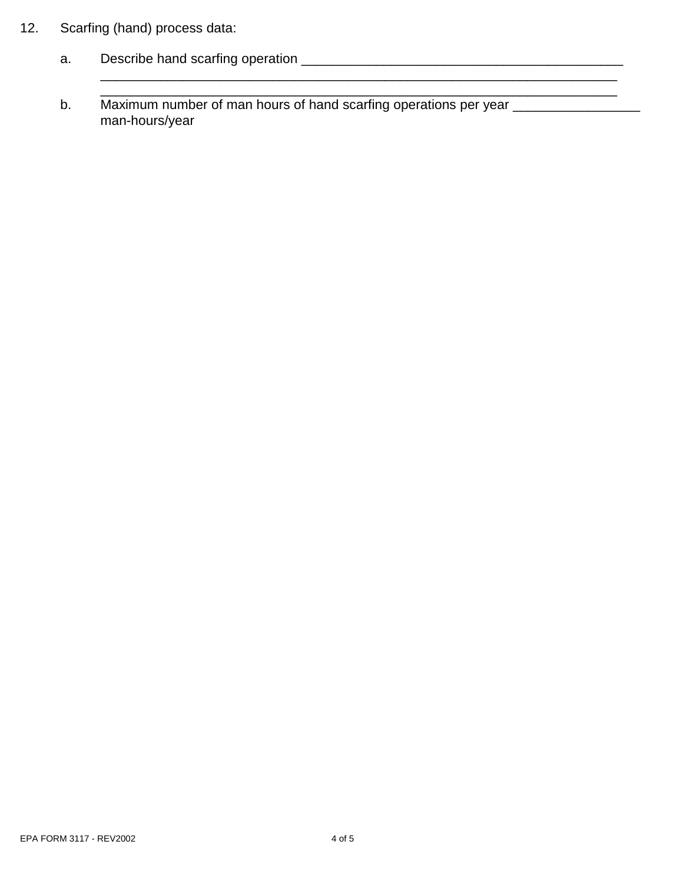- 12. Scarfing (hand) process data:
	- a. Describe hand scarfing operation \_\_\_\_\_\_\_\_\_\_\_\_\_\_\_\_\_\_\_\_\_\_\_\_\_\_\_\_\_\_\_\_\_\_\_\_\_\_\_\_\_\_\_
	- b. Maximum number of man hours of hand scarfing operations per year \_\_\_\_\_\_\_\_\_\_\_\_ man-hours/year

\_\_\_\_\_\_\_\_\_\_\_\_\_\_\_\_\_\_\_\_\_\_\_\_\_\_\_\_\_\_\_\_\_\_\_\_\_\_\_\_\_\_\_\_\_\_\_\_\_\_\_\_\_\_\_\_\_\_\_\_\_\_\_\_\_\_\_\_\_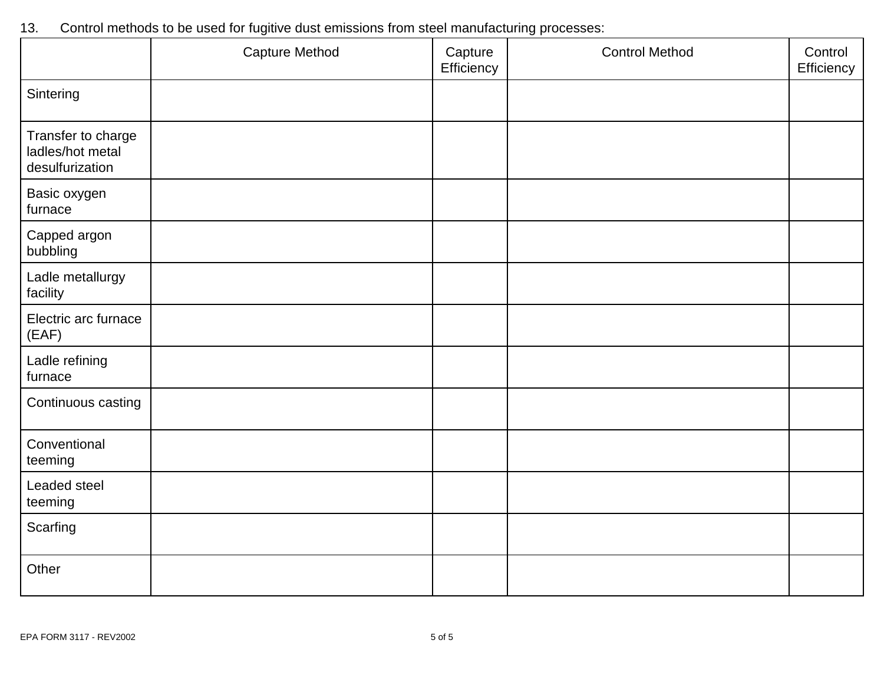|                                                           | <b>Capture Method</b> | Capture<br>Efficiency | <b>Control Method</b> | Control<br>Efficiency |
|-----------------------------------------------------------|-----------------------|-----------------------|-----------------------|-----------------------|
| Sintering                                                 |                       |                       |                       |                       |
| Transfer to charge<br>ladles/hot metal<br>desulfurization |                       |                       |                       |                       |
| Basic oxygen<br>furnace                                   |                       |                       |                       |                       |
| Capped argon<br>bubbling                                  |                       |                       |                       |                       |
| Ladle metallurgy<br>facility                              |                       |                       |                       |                       |
| Electric arc furnace<br>(EAF)                             |                       |                       |                       |                       |
| Ladle refining<br>furnace                                 |                       |                       |                       |                       |
| Continuous casting                                        |                       |                       |                       |                       |
| Conventional<br>teeming                                   |                       |                       |                       |                       |
| Leaded steel<br>teeming                                   |                       |                       |                       |                       |
| Scarfing                                                  |                       |                       |                       |                       |
| Other                                                     |                       |                       |                       |                       |

# 13. Control methods to be used for fugitive dust emissions from steel manufacturing processes: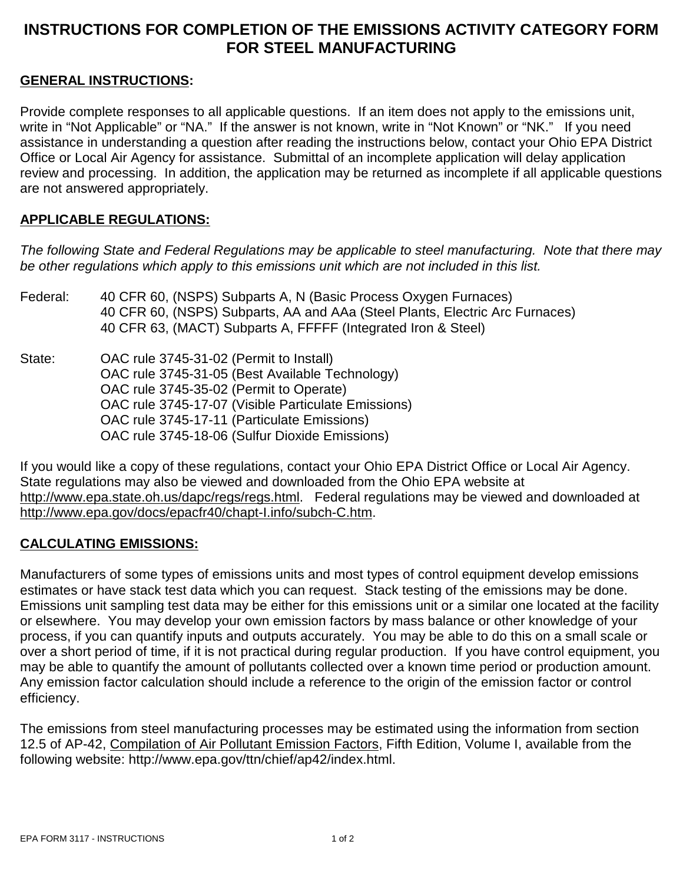### **INSTRUCTIONS FOR COMPLETION OF THE EMISSIONS ACTIVITY CATEGORY FORM FOR STEEL MANUFACTURING**

#### **GENERAL INSTRUCTIONS:**

Provide complete responses to all applicable questions. If an item does not apply to the emissions unit, write in "Not Applicable" or "NA." If the answer is not known, write in "Not Known" or "NK." If you need assistance in understanding a question after reading the instructions below, contact your Ohio EPA District Office or Local Air Agency for assistance. Submittal of an incomplete application will delay application review and processing. In addition, the application may be returned as incomplete if all applicable questions are not answered appropriately.

#### **APPLICABLE REGULATIONS:**

*The following State and Federal Regulations may be applicable to steel manufacturing. Note that there may be other regulations which apply to this emissions unit which are not included in this list.*

| Federal: | 40 CFR 60, (NSPS) Subparts A, N (Basic Process Oxygen Furnaces)<br>40 CFR 60, (NSPS) Subparts, AA and AAa (Steel Plants, Electric Arc Furnaces)<br>40 CFR 63, (MACT) Subparts A, FFFFF (Integrated Iron & Steel) |
|----------|------------------------------------------------------------------------------------------------------------------------------------------------------------------------------------------------------------------|
| State:   | OAC rule 3745-31-02 (Permit to Install)<br>OAC rule 3745-31-05 (Best Available Technology)<br>OAC rule 3745-35-02 (Permit to Operate)                                                                            |
|          | OAC rule 3745-17-07 (Visible Particulate Emissions)                                                                                                                                                              |
|          | OAC rule 3745-17-11 (Particulate Emissions)                                                                                                                                                                      |
|          | OAC rule 3745-18-06 (Sulfur Dioxide Emissions)                                                                                                                                                                   |

If you would like a copy of these regulations, contact your Ohio EPA District Office or Local Air Agency. State regulations may also be viewed and downloaded from the Ohio EPA website at http://www.epa.state.oh.us/dapc/regs/regs.html. Federal regulations may be viewed and downloaded at http://www.epa.gov/docs/epacfr40/chapt-I.info/subch-C.htm.

#### **CALCULATING EMISSIONS:**

Manufacturers of some types of emissions units and most types of control equipment develop emissions estimates or have stack test data which you can request. Stack testing of the emissions may be done. Emissions unit sampling test data may be either for this emissions unit or a similar one located at the facility or elsewhere. You may develop your own emission factors by mass balance or other knowledge of your process, if you can quantify inputs and outputs accurately. You may be able to do this on a small scale or over a short period of time, if it is not practical during regular production. If you have control equipment, you may be able to quantify the amount of pollutants collected over a known time period or production amount. Any emission factor calculation should include a reference to the origin of the emission factor or control efficiency.

The emissions from steel manufacturing processes may be estimated using the information from section 12.5 of AP-42, Compilation of Air Pollutant Emission Factors, Fifth Edition, Volume I, available from the following website: http://www.epa.gov/ttn/chief/ap42/index.html.